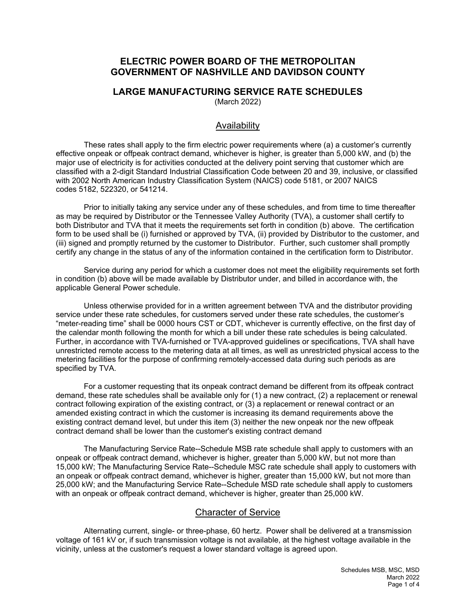# **ELECTRIC POWER BOARD OF THE METROPOLITAN GOVERNMENT OF NASHVILLE AND DAVIDSON COUNTY**

# **LARGE MANUFACTURING SERVICE RATE SCHEDULES**

(March 2022)

# Availability

These rates shall apply to the firm electric power requirements where (a) a customer's currently effective onpeak or offpeak contract demand, whichever is higher, is greater than 5,000 kW, and (b) the major use of electricity is for activities conducted at the delivery point serving that customer which are classified with a 2-digit Standard Industrial Classification Code between 20 and 39, inclusive, or classified with 2002 North American Industry Classification System (NAICS) code 5181, or 2007 NAICS codes 5182, 522320, or 541214.

Prior to initially taking any service under any of these schedules, and from time to time thereafter as may be required by Distributor or the Tennessee Valley Authority (TVA), a customer shall certify to both Distributor and TVA that it meets the requirements set forth in condition (b) above. The certification form to be used shall be (i) furnished or approved by TVA, (ii) provided by Distributor to the customer, and (iii) signed and promptly returned by the customer to Distributor. Further, such customer shall promptly certify any change in the status of any of the information contained in the certification form to Distributor.

Service during any period for which a customer does not meet the eligibility requirements set forth in condition (b) above will be made available by Distributor under, and billed in accordance with, the applicable General Power schedule.

Unless otherwise provided for in a written agreement between TVA and the distributor providing service under these rate schedules, for customers served under these rate schedules, the customer's "meter-reading time" shall be 0000 hours CST or CDT, whichever is currently effective, on the first day of the calendar month following the month for which a bill under these rate schedules is being calculated. Further, in accordance with TVA-furnished or TVA-approved guidelines or specifications, TVA shall have unrestricted remote access to the metering data at all times, as well as unrestricted physical access to the metering facilities for the purpose of confirming remotely-accessed data during such periods as are specified by TVA.

For a customer requesting that its onpeak contract demand be different from its offpeak contract demand, these rate schedules shall be available only for (1) a new contract, (2) a replacement or renewal contract following expiration of the existing contract, or (3) a replacement or renewal contract or an amended existing contract in which the customer is increasing its demand requirements above the existing contract demand level, but under this item (3) neither the new onpeak nor the new offpeak contract demand shall be lower than the customer's existing contract demand

The Manufacturing Service Rate--Schedule MSB rate schedule shall apply to customers with an onpeak or offpeak contract demand, whichever is higher, greater than 5,000 kW, but not more than 15,000 kW; The Manufacturing Service Rate--Schedule MSC rate schedule shall apply to customers with an onpeak or offpeak contract demand, whichever is higher, greater than 15,000 kW, but not more than 25,000 kW; and the Manufacturing Service Rate--Schedule MSD rate schedule shall apply to customers with an onpeak or offpeak contract demand, whichever is higher, greater than 25,000 kW.

## Character of Service

Alternating current, single- or three-phase, 60 hertz. Power shall be delivered at a transmission voltage of 161 kV or, if such transmission voltage is not available, at the highest voltage available in the vicinity, unless at the customer's request a lower standard voltage is agreed upon.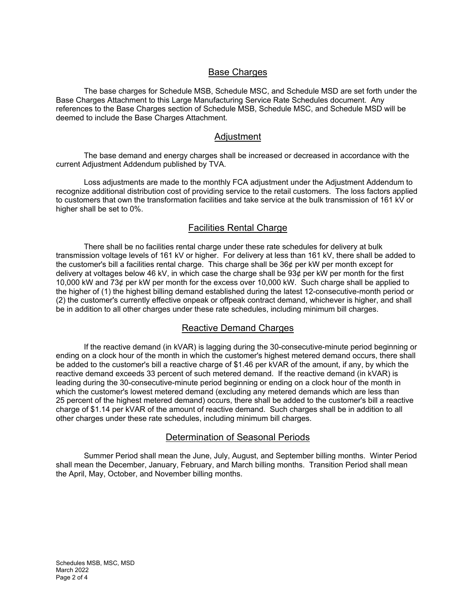## **Base Charges**

The base charges for Schedule MSB, Schedule MSC, and Schedule MSD are set forth under the Base Charges Attachment to this Large Manufacturing Service Rate Schedules document. Any references to the Base Charges section of Schedule MSB, Schedule MSC, and Schedule MSD will be deemed to include the Base Charges Attachment.

#### Adjustment

The base demand and energy charges shall be increased or decreased in accordance with the current Adjustment Addendum published by TVA.

Loss adjustments are made to the monthly FCA adjustment under the Adjustment Addendum to recognize additional distribution cost of providing service to the retail customers. The loss factors applied to customers that own the transformation facilities and take service at the bulk transmission of 161 kV or higher shall be set to 0%.

# Facilities Rental Charge

There shall be no facilities rental charge under these rate schedules for delivery at bulk transmission voltage levels of 161 kV or higher. For delivery at less than 161 kV, there shall be added to the customer's bill a facilities rental charge. This charge shall be 36¢ per kW per month except for delivery at voltages below 46 kV, in which case the charge shall be 93¢ per kW per month for the first 10,000 kW and 73¢ per kW per month for the excess over 10,000 kW. Such charge shall be applied to the higher of (1) the highest billing demand established during the latest 12-consecutive-month period or (2) the customer's currently effective onpeak or offpeak contract demand, whichever is higher, and shall be in addition to all other charges under these rate schedules, including minimum bill charges.

## Reactive Demand Charges

If the reactive demand (in kVAR) is lagging during the 30-consecutive-minute period beginning or ending on a clock hour of the month in which the customer's highest metered demand occurs, there shall be added to the customer's bill a reactive charge of \$1.46 per kVAR of the amount, if any, by which the reactive demand exceeds 33 percent of such metered demand. If the reactive demand (in kVAR) is leading during the 30-consecutive-minute period beginning or ending on a clock hour of the month in which the customer's lowest metered demand (excluding any metered demands which are less than 25 percent of the highest metered demand) occurs, there shall be added to the customer's bill a reactive charge of \$1.14 per kVAR of the amount of reactive demand. Such charges shall be in addition to all other charges under these rate schedules, including minimum bill charges.

#### Determination of Seasonal Periods

Summer Period shall mean the June, July, August, and September billing months. Winter Period shall mean the December, January, February, and March billing months. Transition Period shall mean the April, May, October, and November billing months.

Schedules MSB, MSC, MSD March 2022 Page 2 of 4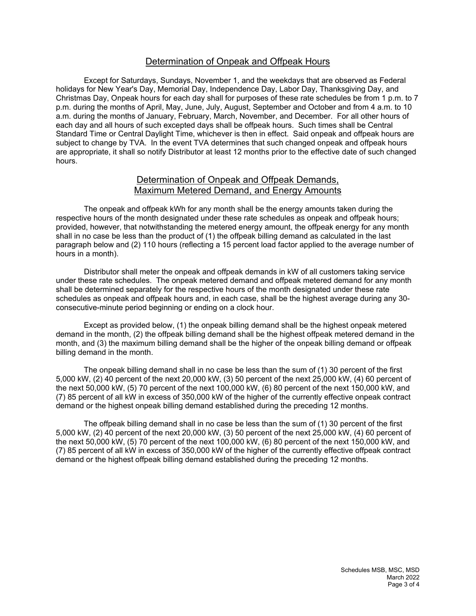## Determination of Onpeak and Offpeak Hours

Except for Saturdays, Sundays, November 1, and the weekdays that are observed as Federal holidays for New Year's Day, Memorial Day, Independence Day, Labor Day, Thanksgiving Day, and Christmas Day, Onpeak hours for each day shall for purposes of these rate schedules be from 1 p.m. to 7 p.m. during the months of April, May, June, July, August, September and October and from 4 a.m. to 10 a.m. during the months of January, February, March, November, and December. For all other hours of each day and all hours of such excepted days shall be offpeak hours. Such times shall be Central Standard Time or Central Daylight Time, whichever is then in effect. Said onpeak and offpeak hours are subject to change by TVA. In the event TVA determines that such changed onpeak and offpeak hours are appropriate, it shall so notify Distributor at least 12 months prior to the effective date of such changed hours.

## Determination of Onpeak and Offpeak Demands, Maximum Metered Demand, and Energy Amounts

The onpeak and offpeak kWh for any month shall be the energy amounts taken during the respective hours of the month designated under these rate schedules as onpeak and offpeak hours; provided, however, that notwithstanding the metered energy amount, the offpeak energy for any month shall in no case be less than the product of (1) the offpeak billing demand as calculated in the last paragraph below and (2) 110 hours (reflecting a 15 percent load factor applied to the average number of hours in a month).

Distributor shall meter the onpeak and offpeak demands in kW of all customers taking service under these rate schedules. The onpeak metered demand and offpeak metered demand for any month shall be determined separately for the respective hours of the month designated under these rate schedules as onpeak and offpeak hours and, in each case, shall be the highest average during any 30 consecutive-minute period beginning or ending on a clock hour.

Except as provided below, (1) the onpeak billing demand shall be the highest onpeak metered demand in the month, (2) the offpeak billing demand shall be the highest offpeak metered demand in the month, and (3) the maximum billing demand shall be the higher of the onpeak billing demand or offpeak billing demand in the month.

The onpeak billing demand shall in no case be less than the sum of (1) 30 percent of the first 5,000 kW, (2) 40 percent of the next 20,000 kW, (3) 50 percent of the next 25,000 kW, (4) 60 percent of the next 50,000 kW, (5) 70 percent of the next 100,000 kW, (6) 80 percent of the next 150,000 kW, and (7) 85 percent of all kW in excess of 350,000 kW of the higher of the currently effective onpeak contract demand or the highest onpeak billing demand established during the preceding 12 months.

The offpeak billing demand shall in no case be less than the sum of (1) 30 percent of the first 5,000 kW, (2) 40 percent of the next 20,000 kW, (3) 50 percent of the next 25,000 kW, (4) 60 percent of the next 50,000 kW, (5) 70 percent of the next 100,000 kW, (6) 80 percent of the next 150,000 kW, and (7) 85 percent of all kW in excess of 350,000 kW of the higher of the currently effective offpeak contract demand or the highest offpeak billing demand established during the preceding 12 months.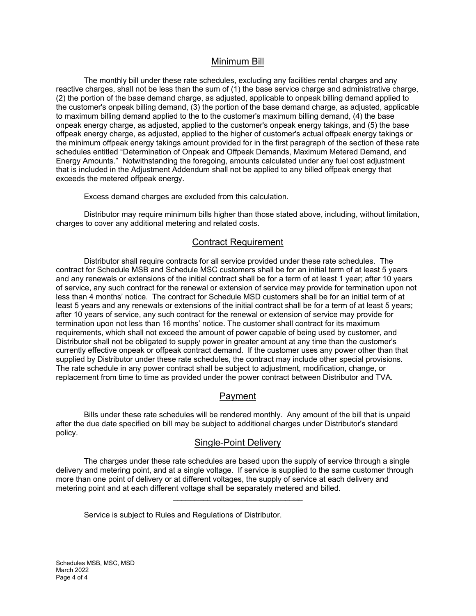### Minimum Bill

The monthly bill under these rate schedules, excluding any facilities rental charges and any reactive charges, shall not be less than the sum of (1) the base service charge and administrative charge, (2) the portion of the base demand charge, as adjusted, applicable to onpeak billing demand applied to the customer's onpeak billing demand, (3) the portion of the base demand charge, as adjusted, applicable to maximum billing demand applied to the to the customer's maximum billing demand, (4) the base onpeak energy charge, as adjusted, applied to the customer's onpeak energy takings, and (5) the base offpeak energy charge, as adjusted, applied to the higher of customer's actual offpeak energy takings or the minimum offpeak energy takings amount provided for in the first paragraph of the section of these rate schedules entitled "Determination of Onpeak and Offpeak Demands, Maximum Metered Demand, and Energy Amounts." Notwithstanding the foregoing, amounts calculated under any fuel cost adjustment that is included in the Adjustment Addendum shall not be applied to any billed offpeak energy that exceeds the metered offpeak energy.

Excess demand charges are excluded from this calculation.

Distributor may require minimum bills higher than those stated above, including, without limitation, charges to cover any additional metering and related costs.

#### Contract Requirement

Distributor shall require contracts for all service provided under these rate schedules. The contract for Schedule MSB and Schedule MSC customers shall be for an initial term of at least 5 years and any renewals or extensions of the initial contract shall be for a term of at least 1 year; after 10 years of service, any such contract for the renewal or extension of service may provide for termination upon not less than 4 months' notice. The contract for Schedule MSD customers shall be for an initial term of at least 5 years and any renewals or extensions of the initial contract shall be for a term of at least 5 years; after 10 years of service, any such contract for the renewal or extension of service may provide for termination upon not less than 16 months' notice. The customer shall contract for its maximum requirements, which shall not exceed the amount of power capable of being used by customer, and Distributor shall not be obligated to supply power in greater amount at any time than the customer's currently effective onpeak or offpeak contract demand. If the customer uses any power other than that supplied by Distributor under these rate schedules, the contract may include other special provisions. The rate schedule in any power contract shall be subject to adjustment, modification, change, or replacement from time to time as provided under the power contract between Distributor and TVA.

## Payment

Bills under these rate schedules will be rendered monthly. Any amount of the bill that is unpaid after the due date specified on bill may be subject to additional charges under Distributor's standard policy.

#### Single-Point Delivery

The charges under these rate schedules are based upon the supply of service through a single delivery and metering point, and at a single voltage. If service is supplied to the same customer through more than one point of delivery or at different voltages, the supply of service at each delivery and metering point and at each different voltage shall be separately metered and billed.

\_\_\_\_\_\_\_\_\_\_\_\_\_\_\_\_\_\_\_\_\_\_\_\_\_\_\_\_\_\_

Service is subject to Rules and Regulations of Distributor.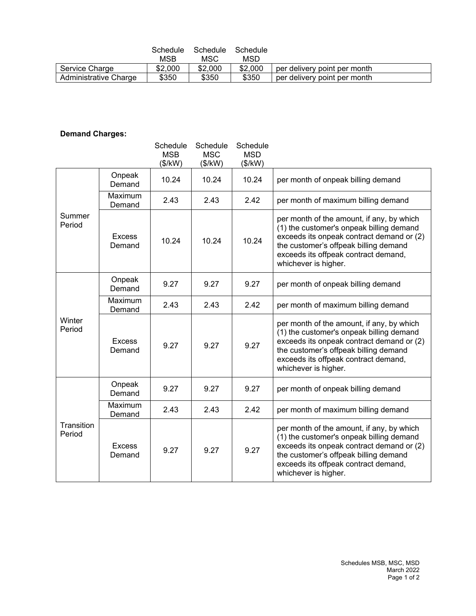|                       | Schedule | Schedule | Schedule |                              |
|-----------------------|----------|----------|----------|------------------------------|
|                       | MSB      | MSC      | MSD      |                              |
| Service Charge        | \$2,000  | \$2,000  | \$2,000  | per delivery point per month |
| Administrative Charge | \$350    | \$350    | \$350    | per delivery point per month |

# **Demand Charges:**

|                      |                         | Schedule<br><b>MSB</b><br>(\$/kW) | Schedule<br><b>MSC</b><br>(\$/kW) | Schedule<br><b>MSD</b><br>(\$/kW) |                                                                                                                                                                                                                                             |
|----------------------|-------------------------|-----------------------------------|-----------------------------------|-----------------------------------|---------------------------------------------------------------------------------------------------------------------------------------------------------------------------------------------------------------------------------------------|
| Summer<br>Period     | Onpeak<br>Demand        | 10.24                             | 10.24                             | 10.24                             | per month of onpeak billing demand                                                                                                                                                                                                          |
|                      | Maximum<br>Demand       | 2.43                              | 2.43                              | 2.42                              | per month of maximum billing demand                                                                                                                                                                                                         |
|                      | <b>Excess</b><br>Demand | 10.24                             | 10.24                             | 10.24                             | per month of the amount, if any, by which<br>(1) the customer's onpeak billing demand<br>exceeds its onpeak contract demand or (2)<br>the customer's offpeak billing demand<br>exceeds its offpeak contract demand,<br>whichever is higher. |
| Winter<br>Period     | Onpeak<br>Demand        | 9.27                              | 9.27                              | 9.27                              | per month of onpeak billing demand                                                                                                                                                                                                          |
|                      | Maximum<br>Demand       | 2.43                              | 2.43                              | 2.42                              | per month of maximum billing demand                                                                                                                                                                                                         |
|                      | <b>Excess</b><br>Demand | 9.27                              | 9.27                              | 9.27                              | per month of the amount, if any, by which<br>(1) the customer's onpeak billing demand<br>exceeds its onpeak contract demand or (2)<br>the customer's offpeak billing demand<br>exceeds its offpeak contract demand,<br>whichever is higher. |
| Transition<br>Period | Onpeak<br>Demand        | 9.27                              | 9.27                              | 9.27                              | per month of onpeak billing demand                                                                                                                                                                                                          |
|                      | Maximum<br>Demand       | 2.43                              | 2.43                              | 2.42                              | per month of maximum billing demand                                                                                                                                                                                                         |
|                      | <b>Excess</b><br>Demand | 9.27                              | 9.27                              | 9.27                              | per month of the amount, if any, by which<br>(1) the customer's onpeak billing demand<br>exceeds its onpeak contract demand or (2)<br>the customer's offpeak billing demand<br>exceeds its offpeak contract demand,<br>whichever is higher. |